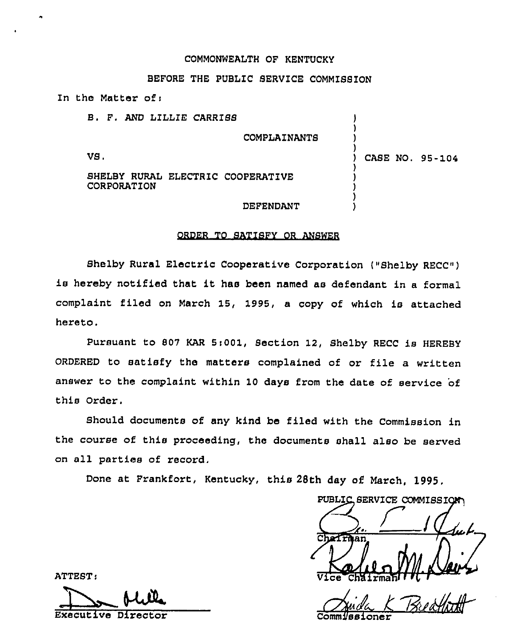### COMMONWEALTH OF KENTUCKY

## BEFORE THE PUBLIC SERVICE COMM1SBION

In the Matter of  $\mathbf{r}$ 

| B. F. AND LILLIE CARRISS                         |                 |
|--------------------------------------------------|-----------------|
|                                                  | COMPLAINANTS    |
| VS.                                              | CASE NO. 95-104 |
| SHELBY RURAL ELECTRIC COOPERATIVE<br>CORPORATION |                 |
|                                                  | DEFENDANT       |

#### ORDER TO SATISFY OR ANSWER

Shelby Rural Electric Cooperative Corporation ("Shelby RECC") is hereby notified that it has been named as defendant in <sup>a</sup> formal complaint filed on March 15, 1995, a copy of which is attached hereto.

Pursuant to 807 KAR 5:001, Section 12, Shelby RECC is HEREBY ORDERED to satisfy the matters complained of or file a written answer to the complaint within 10 days from the date of service of this Order.

Should documents of any kind be filed with the Commission in the course of this proceeding, the documents shall also be served on all parties of record.

Done at Frankfort, Kentucky, this 28th day of March, 1995.

PUBLIC SERVICE COMMISSION Vice Chairman i i

Comm*lssione* 

ATTEST:

De Alex

Executive Direc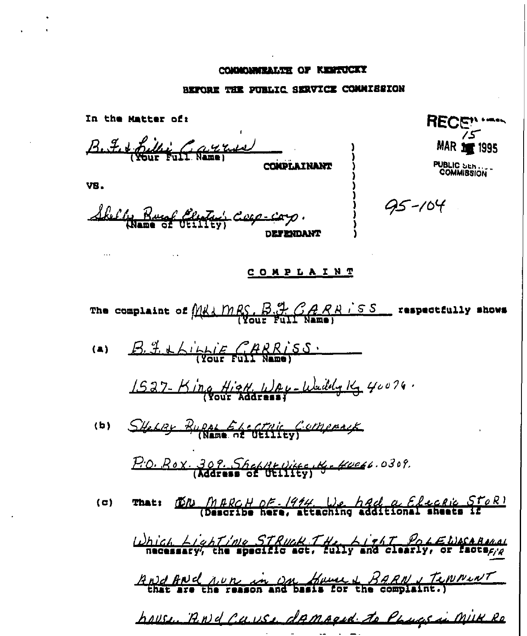## COMMONWEALTH OF REMTUCKY

 $\ddot{\phantom{a}}$ 

# BEFORE THE PUBLIC SERVICE COMMISSION

| In the Matter of:                                                                                                         | <b>RECEN '---</b>               |  |
|---------------------------------------------------------------------------------------------------------------------------|---------------------------------|--|
| B. F. + Rillie Gayron                                                                                                     | <b>MAR 10 1995</b>              |  |
| COMPLAINANT<br>VB.                                                                                                        | <b>PUBLIC SER</b><br>COMMISSION |  |
| Skelly Runf Elestary Cure-corp.<br><b>DET ENDANT</b>                                                                      | 95-104                          |  |
| <u>COMPLAINT</u>                                                                                                          |                                 |  |
| The complaint of $M_{\text{H}}M_{\text{R}}S$ , $B_{\text{H}}T_{\text{G}}R_{\text{R}}$ , $S_{\text{S}}$ respectfully shows |                                 |  |
| $B.$ I thing CARRISS.<br>(a)                                                                                              |                                 |  |
| 1527-King High Way-Waildy 14, 40076.                                                                                      |                                 |  |
| SHELBY BURAL ELECTRIC COMPANY<br>(b)                                                                                      |                                 |  |
| P.O. Rox. 309. Shefft Vitte, Kg - Koekt. 0309.                                                                            |                                 |  |
| That: DR. MARCH DE-1914, We had a Electic StoR!<br>( c )                                                                  |                                 |  |
| Which Lighting STRUCK. THe Light Port WACABARAL                                                                           |                                 |  |
| And And nun in on House & BARN, Temnewr                                                                                   |                                 |  |
| house, RNd Cause damaged to Physics in Milk Ro                                                                            |                                 |  |

المنابي المستناد المستناد